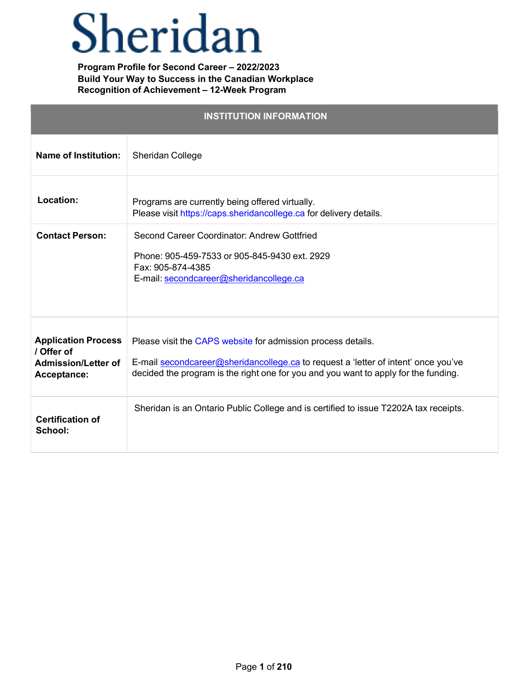# Sheridan

**Program Profile for Second Career – 2022/2023 Build Your Way to Success in the Canadian Workplace Recognition of Achievement – 12-Week Program**

| <b>INSTITUTION INFORMATION</b>                                                        |                                                                                                                                                                                                                                           |  |
|---------------------------------------------------------------------------------------|-------------------------------------------------------------------------------------------------------------------------------------------------------------------------------------------------------------------------------------------|--|
| <b>Name of Institution:</b>                                                           | Sheridan College                                                                                                                                                                                                                          |  |
| Location:                                                                             | Programs are currently being offered virtually.<br>Please visit https://caps.sheridancollege.ca for delivery details.                                                                                                                     |  |
| <b>Contact Person:</b>                                                                | Second Career Coordinator: Andrew Gottfried<br>Phone: 905-459-7533 or 905-845-9430 ext. 2929<br>Fax: 905-874-4385<br>E-mail: secondcareer@sheridancollege.ca                                                                              |  |
| <b>Application Process</b><br>/ Offer of<br><b>Admission/Letter of</b><br>Acceptance: | Please visit the CAPS website for admission process details.<br>E-mail secondcareer@sheridancollege.ca to request a 'letter of intent' once you've<br>decided the program is the right one for you and you want to apply for the funding. |  |
| <b>Certification of</b><br>School:                                                    | Sheridan is an Ontario Public College and is certified to issue T2202A tax receipts.                                                                                                                                                      |  |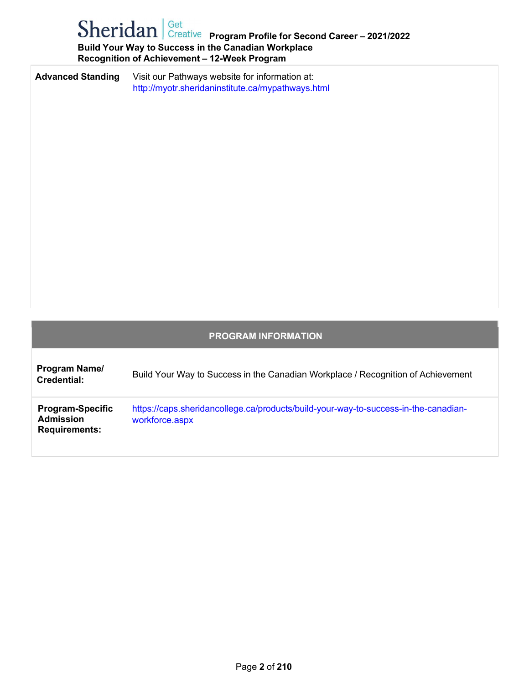### **Program Profile for Second Career – 2021/2022 Build Your Way to Success in the Canadian Workplace Recognition of Achievement – 12-Week Program**

| <b>Advanced Standing</b> | Visit our Pathways website for information at:<br>http://myotr.sheridaninstitute.ca/mypathways.html |
|--------------------------|-----------------------------------------------------------------------------------------------------|
|                          |                                                                                                     |
|                          |                                                                                                     |
|                          |                                                                                                     |
|                          |                                                                                                     |
|                          |                                                                                                     |
|                          |                                                                                                     |

| <b>PROGRAM INFORMATION</b>                                          |                                                                                                       |  |  |
|---------------------------------------------------------------------|-------------------------------------------------------------------------------------------------------|--|--|
| Program Name/<br>Credential:                                        | Build Your Way to Success in the Canadian Workplace / Recognition of Achievement                      |  |  |
| <b>Program-Specific</b><br><b>Admission</b><br><b>Requirements:</b> | https://caps.sheridancollege.ca/products/build-your-way-to-success-in-the-canadian-<br>workforce.aspx |  |  |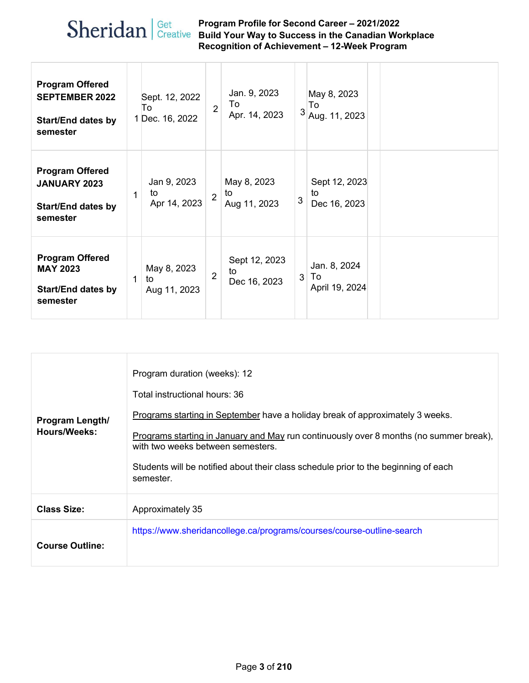#### **Program Profile for Second Career – 2021/2022 Build Your Way to Success in the Canadian Workplace Recognition of Achievement – 12-Week Program**

| <b>Program Offered</b><br><b>SEPTEMBER 2022</b><br><b>Start/End dates by</b><br>semester |   | Sept. 12, 2022<br>To<br>1 Dec. 16, 2022 | $\overline{2}$ | Jan. 9, 2023<br>To<br>Apr. 14, 2023 | 3 | May 8, 2023<br>To<br>Aug. 11, 2023   |  |
|------------------------------------------------------------------------------------------|---|-----------------------------------------|----------------|-------------------------------------|---|--------------------------------------|--|
| <b>Program Offered</b><br><b>JANUARY 2023</b><br><b>Start/End dates by</b><br>semester   | 1 | Jan 9, 2023<br>to<br>Apr 14, 2023       | $\overline{2}$ | May 8, 2023<br>to<br>Aug 11, 2023   | 3 | Sept 12, 2023<br>to<br>Dec 16, 2023  |  |
| <b>Program Offered</b><br><b>MAY 2023</b><br><b>Start/End dates by</b><br>semester       | 1 | May 8, 2023<br>to<br>Aug 11, 2023       | $\overline{2}$ | Sept 12, 2023<br>to<br>Dec 16, 2023 | 3 | Jan. 8, 2024<br>To<br>April 19, 2024 |  |

| <b>Program Length/</b><br>Hours/Weeks: | Program duration (weeks): 12<br>Total instructional hours: 36<br>Programs starting in September have a holiday break of approximately 3 weeks.<br>Programs starting in January and May run continuously over 8 months (no summer break),<br>with two weeks between semesters.<br>Students will be notified about their class schedule prior to the beginning of each<br>semester. |
|----------------------------------------|-----------------------------------------------------------------------------------------------------------------------------------------------------------------------------------------------------------------------------------------------------------------------------------------------------------------------------------------------------------------------------------|
| <b>Class Size:</b>                     | Approximately 35                                                                                                                                                                                                                                                                                                                                                                  |
| <b>Course Outline:</b>                 | https://www.sheridancollege.ca/programs/courses/course-outline-search                                                                                                                                                                                                                                                                                                             |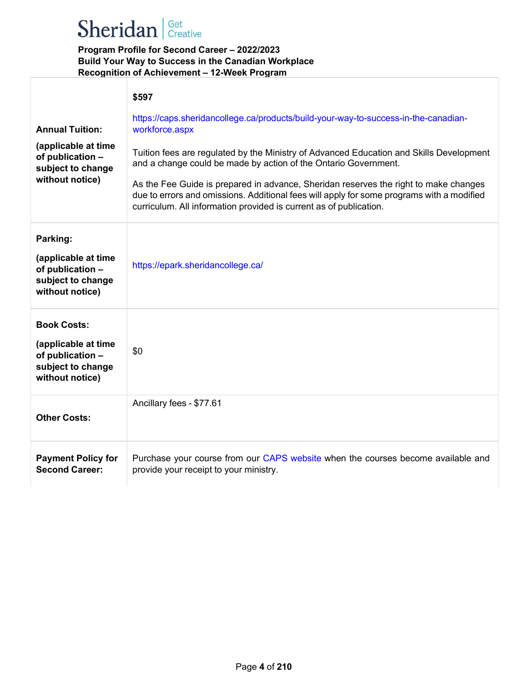## Sheridan | Get Creative

#### **Program Profile for Second Career – 2022/2023 Build Your Way to Success in the Canadian Workplace Recognition of Achievement – 12-Week Program**

|                                                                                                           | \$597                                                                                                                                                                                            |
|-----------------------------------------------------------------------------------------------------------|--------------------------------------------------------------------------------------------------------------------------------------------------------------------------------------------------|
| <b>Annual Tuition:</b><br>(applicable at time<br>of publication -<br>subject to change<br>without notice) | https://caps.sheridancollege.ca/products/build-your-way-to-success-in-the-canadian-<br>workforce.aspx<br>Tuition fees are regulated by the Ministry of Advanced Education and Skills Development |
|                                                                                                           | and a change could be made by action of the Ontario Government.<br>As the Fee Guide is prepared in advance, Sheridan reserves the right to make changes                                          |
|                                                                                                           | due to errors and omissions. Additional fees will apply for some programs with a modified<br>curriculum. All information provided is current as of publication.                                  |
| Parking:<br>(applicable at time<br>of publication -<br>subject to change<br>without notice)               | https://epark.sheridancollege.ca/                                                                                                                                                                |
| <b>Book Costs:</b><br>(applicable at time<br>of publication -<br>subject to change<br>without notice)     | \$0                                                                                                                                                                                              |
| <b>Other Costs:</b>                                                                                       | Ancillary fees - \$77.61                                                                                                                                                                         |
| <b>Payment Policy for</b><br><b>Second Career:</b>                                                        | Purchase your course from our CAPS website when the courses become available and<br>provide your receipt to your ministry.                                                                       |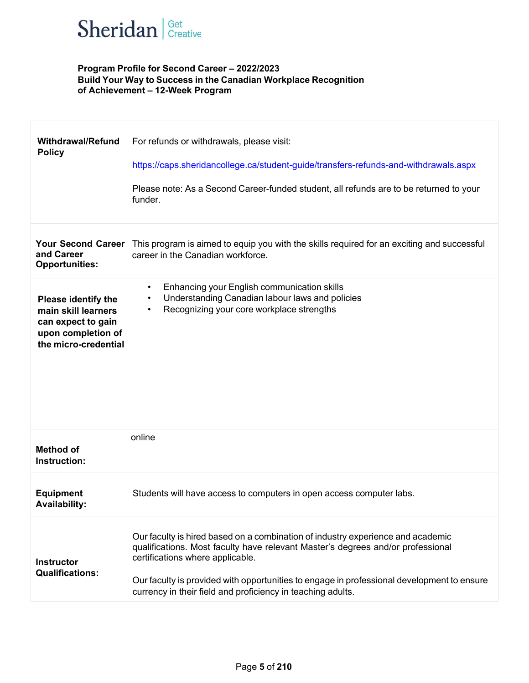

#### **Program Profile for Second Career – 2022/2023 Build Your Way to Success in the Canadian Workplace Recognition of Achievement – 12-Week Program**

| <b>Withdrawal/Refund</b><br><b>Policy</b>                                                                             | For refunds or withdrawals, please visit:<br>https://caps.sheridancollege.ca/student-guide/transfers-refunds-and-withdrawals.aspx<br>Please note: As a Second Career-funded student, all refunds are to be returned to your<br>funder.                                                                                                                              |
|-----------------------------------------------------------------------------------------------------------------------|---------------------------------------------------------------------------------------------------------------------------------------------------------------------------------------------------------------------------------------------------------------------------------------------------------------------------------------------------------------------|
| <b>Your Second Career</b><br>and Career<br><b>Opportunities:</b>                                                      | This program is aimed to equip you with the skills required for an exciting and successful<br>career in the Canadian workforce.                                                                                                                                                                                                                                     |
| <b>Please identify the</b><br>main skill learners<br>can expect to gain<br>upon completion of<br>the micro-credential | Enhancing your English communication skills<br>$\bullet$<br>Understanding Canadian labour laws and policies<br>$\bullet$<br>Recognizing your core workplace strengths                                                                                                                                                                                               |
| <b>Method of</b><br>Instruction:                                                                                      | online                                                                                                                                                                                                                                                                                                                                                              |
| <b>Equipment</b><br><b>Availability:</b>                                                                              | Students will have access to computers in open access computer labs.                                                                                                                                                                                                                                                                                                |
| <b>Instructor</b><br><b>Qualifications:</b>                                                                           | Our faculty is hired based on a combination of industry experience and academic<br>qualifications. Most faculty have relevant Master's degrees and/or professional<br>certifications where applicable.<br>Our faculty is provided with opportunities to engage in professional development to ensure<br>currency in their field and proficiency in teaching adults. |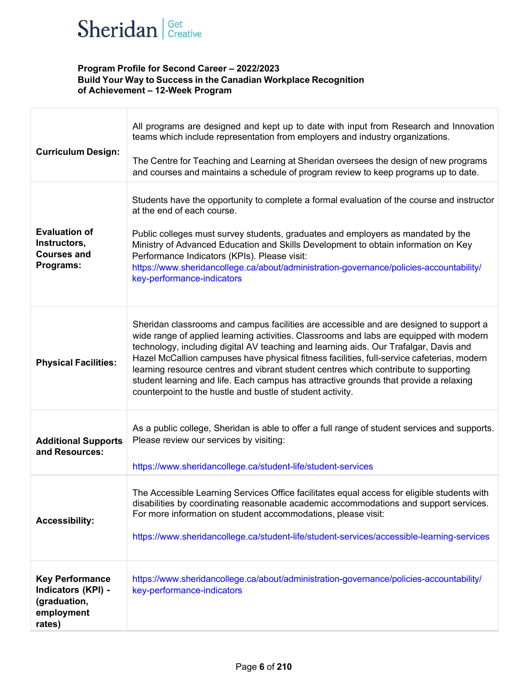

#### **Program Profile for Second Career – 2022/2023 Build Your Way to Success in the Canadian Workplace Recognition of Achievement – 12-Week Program**

| <b>Curriculum Design:</b>                                                            | All programs are designed and kept up to date with input from Research and Innovation<br>teams which include representation from employers and industry organizations.<br>The Centre for Teaching and Learning at Sheridan oversees the design of new programs<br>and courses and maintains a schedule of program review to keep programs up to date.                                                                                                                                                                                                                                                                   |
|--------------------------------------------------------------------------------------|-------------------------------------------------------------------------------------------------------------------------------------------------------------------------------------------------------------------------------------------------------------------------------------------------------------------------------------------------------------------------------------------------------------------------------------------------------------------------------------------------------------------------------------------------------------------------------------------------------------------------|
| <b>Evaluation of</b><br>Instructors,<br><b>Courses and</b><br>Programs:              | Students have the opportunity to complete a formal evaluation of the course and instructor<br>at the end of each course.<br>Public colleges must survey students, graduates and employers as mandated by the<br>Ministry of Advanced Education and Skills Development to obtain information on Key<br>Performance Indicators (KPIs). Please visit:<br>https://www.sheridancollege.ca/about/administration-governance/policies-accountability/<br>key-performance-indicators                                                                                                                                             |
| <b>Physical Facilities:</b>                                                          | Sheridan classrooms and campus facilities are accessible and are designed to support a<br>wide range of applied learning activities. Classrooms and labs are equipped with modern<br>technology, including digital AV teaching and learning aids. Our Trafalgar, Davis and<br>Hazel McCallion campuses have physical fitness facilities, full-service cafeterias, modern<br>learning resource centres and vibrant student centres which contribute to supporting<br>student learning and life. Each campus has attractive grounds that provide a relaxing<br>counterpoint to the hustle and bustle of student activity. |
| <b>Additional Supports</b><br>and Resources:                                         | As a public college, Sheridan is able to offer a full range of student services and supports.<br>Please review our services by visiting:<br>https://www.sheridancollege.ca/student-life/student-services                                                                                                                                                                                                                                                                                                                                                                                                                |
| <b>Accessibility:</b>                                                                | The Accessible Learning Services Office facilitates equal access for eligible students with<br>disabilities by coordinating reasonable academic accommodations and support services.<br>For more information on student accommodations, please visit:<br>https://www.sheridancollege.ca/student-life/student-services/accessible-learning-services                                                                                                                                                                                                                                                                      |
| <b>Key Performance</b><br>Indicators (KPI) -<br>(graduation,<br>employment<br>rates) | https://www.sheridancollege.ca/about/administration-governance/policies-accountability/<br>key-performance-indicators                                                                                                                                                                                                                                                                                                                                                                                                                                                                                                   |